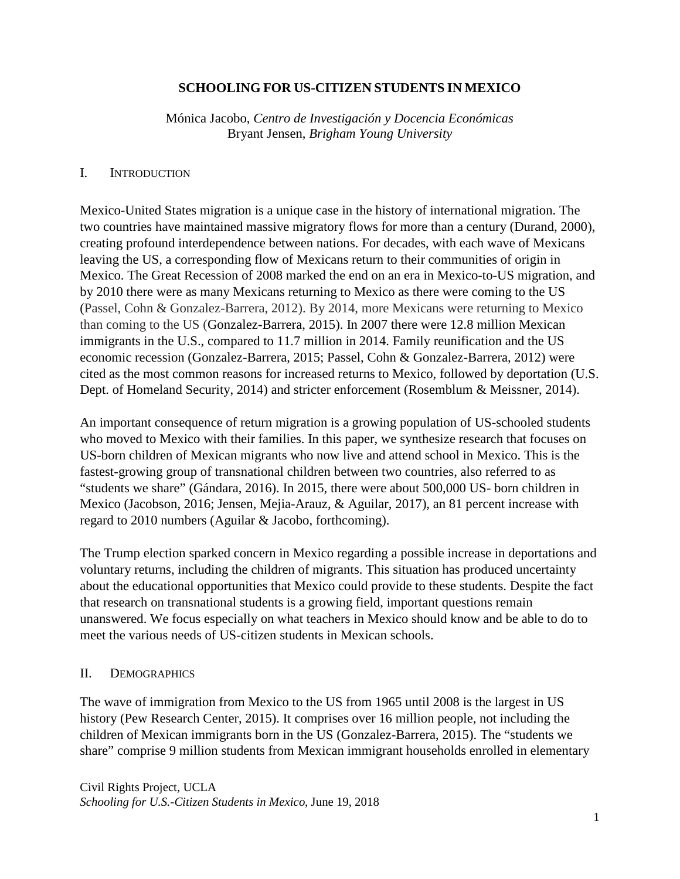### **SCHOOLING FOR US-CITIZEN STUDENTS IN MEXICO**

Mónica Jacobo, *Centro de Investigación y Docencia Económicas* Bryant Jensen, *Brigham Young University*

#### I. INTRODUCTION

Mexico-United States migration is a unique case in the history of international migration. The two countries have maintained massive migratory flows for more than a century (Durand, 2000), creating profound interdependence between nations. For decades, with each wave of Mexicans leaving the US, a corresponding flow of Mexicans return to their communities of origin in Mexico. The Great Recession of 2008 marked the end on an era in Mexico-to-US migration, and by 2010 there were as many Mexicans returning to Mexico as there were coming to the US (Passel, Cohn & Gonzalez-Barrera, 2012). By 2014, more Mexicans were returning to Mexico than coming to the US (Gonzalez-Barrera, 2015). In 2007 there were 12.8 million Mexican immigrants in the U.S., compared to 11.7 million in 2014. Family reunification and the US economic recession (Gonzalez-Barrera, 2015; Passel, Cohn & Gonzalez-Barrera, 2012) were cited as the most common reasons for increased returns to Mexico, followed by deportation (U.S. Dept. of Homeland Security, 2014) and stricter enforcement (Rosemblum & Meissner, 2014).

An important consequence of return migration is a growing population of US-schooled students who moved to Mexico with their families. In this paper, we synthesize research that focuses on US-born children of Mexican migrants who now live and attend school in Mexico. This is the fastest-growing group of transnational children between two countries, also referred to as "students we share" (Gándara, 2016). In 2015, there were about 500,000 US- born children in Mexico (Jacobson, 2016; Jensen, Mejia-Arauz, & Aguilar, 2017), an 81 percent increase with regard to 2010 numbers (Aguilar & Jacobo, forthcoming).

The Trump election sparked concern in Mexico regarding a possible increase in deportations and voluntary returns, including the children of migrants. This situation has produced uncertainty about the educational opportunities that Mexico could provide to these students. Despite the fact that research on transnational students is a growing field, important questions remain unanswered. We focus especially on what teachers in Mexico should know and be able to do to meet the various needs of US-citizen students in Mexican schools.

### II. DEMOGRAPHICS

The wave of immigration from Mexico to the US from 1965 until 2008 is the largest in US history (Pew Research Center, 2015). It comprises over 16 million people, not including the children of Mexican immigrants born in the US (Gonzalez-Barrera, 2015). The "students we share" comprise 9 million students from Mexican immigrant households enrolled in elementary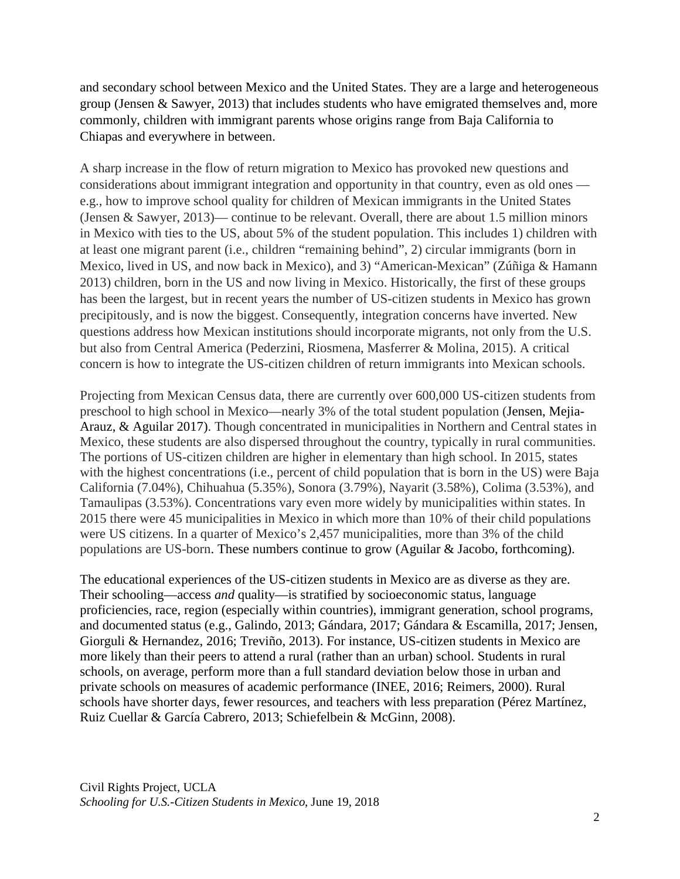and secondary school between Mexico and the United States. They are a large and heterogeneous group (Jensen & Sawyer, 2013) that includes students who have emigrated themselves and, more commonly, children with immigrant parents whose origins range from Baja California to Chiapas and everywhere in between.

A sharp increase in the flow of return migration to Mexico has provoked new questions and considerations about immigrant integration and opportunity in that country, even as old ones e.g., how to improve school quality for children of Mexican immigrants in the United States (Jensen & Sawyer, 2013)— continue to be relevant. Overall, there are about 1.5 million minors in Mexico with ties to the US, about 5% of the student population. This includes 1) children with at least one migrant parent (i.e., children "remaining behind", 2) circular immigrants (born in Mexico, lived in US, and now back in Mexico), and 3) "American-Mexican" (Zúñiga & Hamann 2013) children, born in the US and now living in Mexico. Historically, the first of these groups has been the largest, but in recent years the number of US-citizen students in Mexico has grown precipitously, and is now the biggest. Consequently, integration concerns have inverted. New questions address how Mexican institutions should incorporate migrants, not only from the U.S. but also from Central America (Pederzini, Riosmena, Masferrer & Molina, 2015). A critical concern is how to integrate the US-citizen children of return immigrants into Mexican schools.

Projecting from Mexican Census data, there are currently over 600,000 US-citizen students from preschool to high school in Mexico—nearly 3% of the total student population (Jensen, Mejia-Arauz, & Aguilar 2017). Though concentrated in municipalities in Northern and Central states in Mexico, these students are also dispersed throughout the country, typically in rural communities. The portions of US-citizen children are higher in elementary than high school. In 2015, states with the highest concentrations (i.e., percent of child population that is born in the US) were Baja California (7.04%), Chihuahua (5.35%), Sonora (3.79%), Nayarit (3.58%), Colima (3.53%), and Tamaulipas (3.53%). Concentrations vary even more widely by municipalities within states. In 2015 there were 45 municipalities in Mexico in which more than 10% of their child populations were US citizens. In a quarter of Mexico's 2,457 municipalities, more than 3% of the child populations are US-born. These numbers continue to grow (Aguilar & Jacobo, forthcoming).

The educational experiences of the US-citizen students in Mexico are as diverse as they are. Their schooling—access *and* quality—is stratified by socioeconomic status, language proficiencies, race, region (especially within countries), immigrant generation, school programs, and documented status (e.g., Galindo, 2013; Gándara, 2017; Gándara & Escamilla, 2017; Jensen, Giorguli & Hernandez, 2016; Treviño, 2013). For instance, US-citizen students in Mexico are more likely than their peers to attend a rural (rather than an urban) school. Students in rural schools, on average, perform more than a full standard deviation below those in urban and private schools on measures of academic performance (INEE, 2016; Reimers, 2000). Rural schools have shorter days, fewer resources, and teachers with less preparation (Pérez Martínez, Ruiz Cuellar & García Cabrero, 2013; Schiefelbein & McGinn, 2008).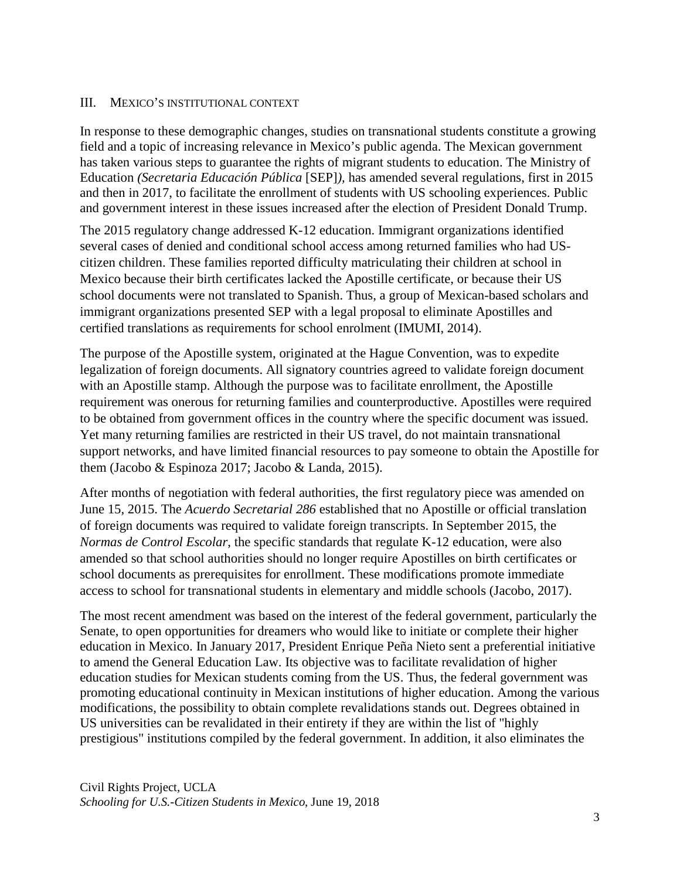### III. MEXICO'S INSTITUTIONAL CONTEXT

In response to these demographic changes, studies on transnational students constitute a growing field and a topic of increasing relevance in Mexico's public agenda. The Mexican government has taken various steps to guarantee the rights of migrant students to education. The Ministry of Education *(Secretaria Educación Pública* [SEP]*),* has amended several regulations, first in 2015 and then in 2017, to facilitate the enrollment of students with US schooling experiences. Public and government interest in these issues increased after the election of President Donald Trump.

The 2015 regulatory change addressed K-12 education. Immigrant organizations identified several cases of denied and conditional school access among returned families who had UScitizen children. These families reported difficulty matriculating their children at school in Mexico because their birth certificates lacked the Apostille certificate, or because their US school documents were not translated to Spanish. Thus, a group of Mexican-based scholars and immigrant organizations presented SEP with a legal proposal to eliminate Apostilles and certified translations as requirements for school enrolment (IMUMI, 2014).

The purpose of the Apostille system, originated at the Hague Convention, was to expedite legalization of foreign documents. All signatory countries agreed to validate foreign document with an Apostille stamp. Although the purpose was to facilitate enrollment, the Apostille requirement was onerous for returning families and counterproductive. Apostilles were required to be obtained from government offices in the country where the specific document was issued. Yet many returning families are restricted in their US travel, do not maintain transnational support networks, and have limited financial resources to pay someone to obtain the Apostille for them (Jacobo & Espinoza 2017; Jacobo & Landa, 2015).

After months of negotiation with federal authorities, the first regulatory piece was amended on June 15, 2015. The *Acuerdo Secretarial 286* established that no Apostille or official translation of foreign documents was required to validate foreign transcripts. In September 2015, the *Normas de Control Escolar*, the specific standards that regulate K-12 education, were also amended so that school authorities should no longer require Apostilles on birth certificates or school documents as prerequisites for enrollment. These modifications promote immediate access to school for transnational students in elementary and middle schools (Jacobo, 2017).

The most recent amendment was based on the interest of the federal government, particularly the Senate, to open opportunities for dreamers who would like to initiate or complete their higher education in Mexico. In January 2017, President Enrique Peña Nieto sent a preferential initiative to amend the General Education Law. Its objective was to facilitate revalidation of higher education studies for Mexican students coming from the US. Thus, the federal government was promoting educational continuity in Mexican institutions of higher education. Among the various modifications, the possibility to obtain complete revalidations stands out. Degrees obtained in US universities can be revalidated in their entirety if they are within the list of "highly prestigious" institutions compiled by the federal government. In addition, it also eliminates the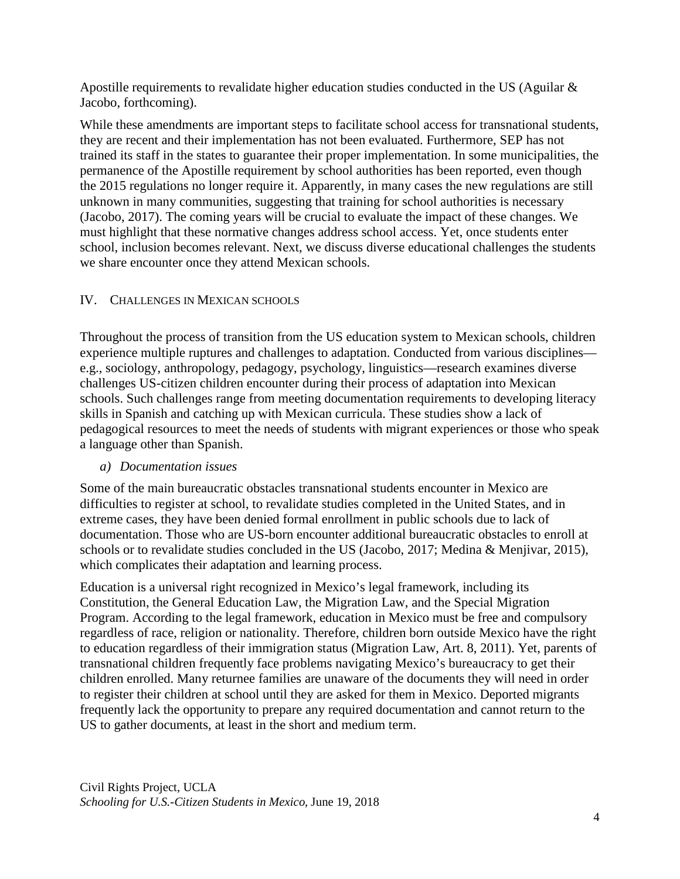Apostille requirements to revalidate higher education studies conducted in the US (Aguilar  $\&$ Jacobo, forthcoming).

While these amendments are important steps to facilitate school access for transnational students, they are recent and their implementation has not been evaluated. Furthermore, SEP has not trained its staff in the states to guarantee their proper implementation. In some municipalities, the permanence of the Apostille requirement by school authorities has been reported, even though the 2015 regulations no longer require it. Apparently, in many cases the new regulations are still unknown in many communities, suggesting that training for school authorities is necessary (Jacobo, 2017). The coming years will be crucial to evaluate the impact of these changes. We must highlight that these normative changes address school access. Yet, once students enter school, inclusion becomes relevant. Next, we discuss diverse educational challenges the students we share encounter once they attend Mexican schools.

# IV. CHALLENGES IN MEXICAN SCHOOLS

Throughout the process of transition from the US education system to Mexican schools, children experience multiple ruptures and challenges to adaptation. Conducted from various disciplines e.g., sociology, anthropology, pedagogy, psychology, linguistics—research examines diverse challenges US-citizen children encounter during their process of adaptation into Mexican schools. Such challenges range from meeting documentation requirements to developing literacy skills in Spanish and catching up with Mexican curricula. These studies show a lack of pedagogical resources to meet the needs of students with migrant experiences or those who speak a language other than Spanish.

# *a) Documentation issues*

Some of the main bureaucratic obstacles transnational students encounter in Mexico are difficulties to register at school, to revalidate studies completed in the United States, and in extreme cases, they have been denied formal enrollment in public schools due to lack of documentation. Those who are US-born encounter additional bureaucratic obstacles to enroll at schools or to revalidate studies concluded in the US (Jacobo, 2017; Medina & Menjivar, 2015), which complicates their adaptation and learning process.

Education is a universal right recognized in Mexico's legal framework, including its Constitution, the General Education Law, the Migration Law, and the Special Migration Program. According to the legal framework, education in Mexico must be free and compulsory regardless of race, religion or nationality. Therefore, children born outside Mexico have the right to education regardless of their immigration status (Migration Law, Art. 8, 2011). Yet, parents of transnational children frequently face problems navigating Mexico's bureaucracy to get their children enrolled. Many returnee families are unaware of the documents they will need in order to register their children at school until they are asked for them in Mexico. Deported migrants frequently lack the opportunity to prepare any required documentation and cannot return to the US to gather documents, at least in the short and medium term.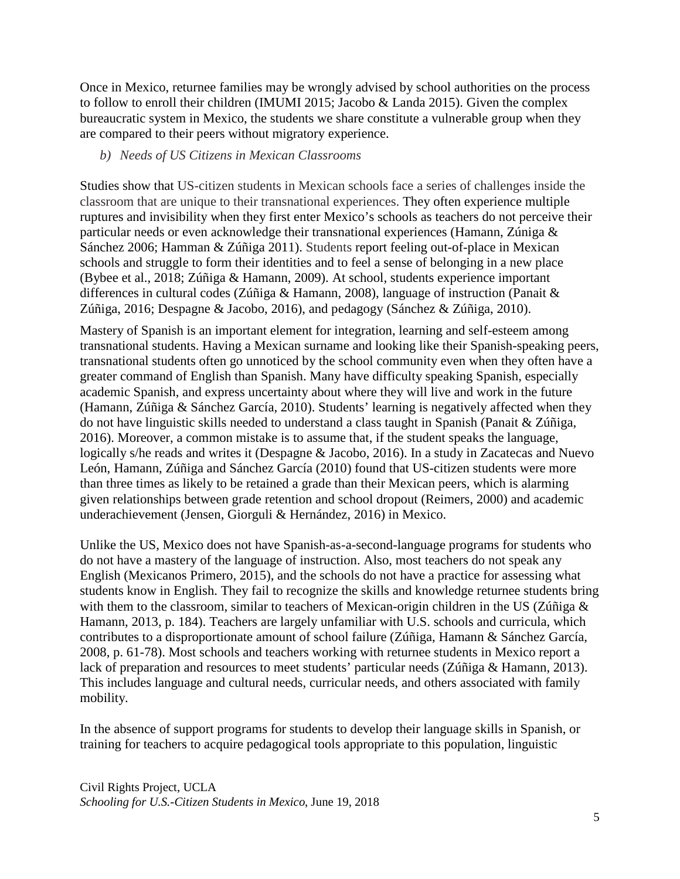Once in Mexico, returnee families may be wrongly advised by school authorities on the process to follow to enroll their children (IMUMI 2015; Jacobo & Landa 2015). Given the complex bureaucratic system in Mexico, the students we share constitute a vulnerable group when they are compared to their peers without migratory experience.

### *b) Needs of US Citizens in Mexican Classrooms*

Studies show that US-citizen students in Mexican schools face a series of challenges inside the classroom that are unique to their transnational experiences. They often experience multiple ruptures and invisibility when they first enter Mexico's schools as teachers do not perceive their particular needs or even acknowledge their transnational experiences (Hamann, Zúniga & Sánchez 2006; Hamman & Zúñiga 2011). Students report feeling out-of-place in Mexican schools and struggle to form their identities and to feel a sense of belonging in a new place (Bybee et al., 2018; Zúñiga & Hamann, 2009). At school, students experience important differences in cultural codes (Zúñiga & Hamann, 2008), language of instruction (Panait & Zúñiga, 2016; Despagne & Jacobo, 2016), and pedagogy (Sánchez & Zúñiga, 2010).

Mastery of Spanish is an important element for integration, learning and self-esteem among transnational students. Having a Mexican surname and looking like their Spanish-speaking peers, transnational students often go unnoticed by the school community even when they often have a greater command of English than Spanish. Many have difficulty speaking Spanish, especially academic Spanish, and express uncertainty about where they will live and work in the future (Hamann, Zúñiga & Sánchez García, 2010). Students' learning is negatively affected when they do not have linguistic skills needed to understand a class taught in Spanish (Panait & Zúñiga, 2016). Moreover, a common mistake is to assume that, if the student speaks the language, logically s/he reads and writes it (Despagne & Jacobo, 2016). In a study in Zacatecas and Nuevo León, Hamann, Zúñiga and Sánchez García (2010) found that US-citizen students were more than three times as likely to be retained a grade than their Mexican peers, which is alarming given relationships between grade retention and school dropout (Reimers, 2000) and academic underachievement (Jensen, Giorguli & Hernández, 2016) in Mexico.

Unlike the US, Mexico does not have Spanish-as-a-second-language programs for students who do not have a mastery of the language of instruction. Also, most teachers do not speak any English (Mexicanos Primero, 2015), and the schools do not have a practice for assessing what students know in English. They fail to recognize the skills and knowledge returnee students bring with them to the classroom, similar to teachers of Mexican-origin children in the US (Zúñiga & Hamann, 2013, p. 184). Teachers are largely unfamiliar with U.S. schools and curricula, which contributes to a disproportionate amount of school failure (Zúñiga, Hamann & Sánchez García, 2008, p. 61-78). Most schools and teachers working with returnee students in Mexico report a lack of preparation and resources to meet students' particular needs (Zúñiga & Hamann, 2013). This includes language and cultural needs, curricular needs, and others associated with family mobility.

In the absence of support programs for students to develop their language skills in Spanish, or training for teachers to acquire pedagogical tools appropriate to this population, linguistic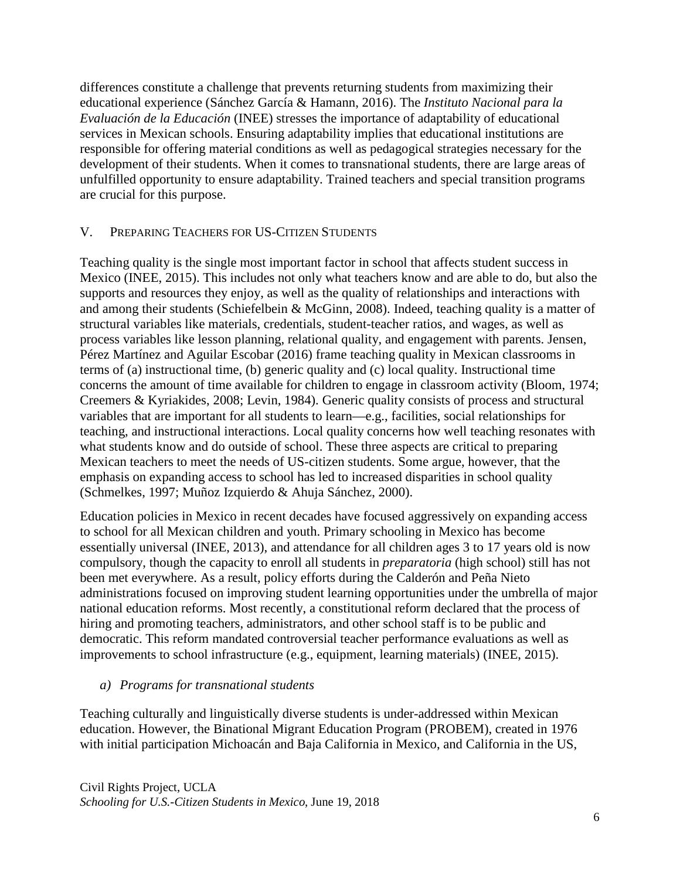differences constitute a challenge that prevents returning students from maximizing their educational experience (Sánchez García & Hamann, 2016). The *Instituto Nacional para la Evaluación de la Educación* (INEE) stresses the importance of adaptability of educational services in Mexican schools. Ensuring adaptability implies that educational institutions are responsible for offering material conditions as well as pedagogical strategies necessary for the development of their students. When it comes to transnational students, there are large areas of unfulfilled opportunity to ensure adaptability. Trained teachers and special transition programs are crucial for this purpose.

# V. PREPARING TEACHERS FOR US-CITIZEN STUDENTS

Teaching quality is the single most important factor in school that affects student success in Mexico (INEE, 2015). This includes not only what teachers know and are able to do, but also the supports and resources they enjoy, as well as the quality of relationships and interactions with and among their students (Schiefelbein & McGinn, 2008). Indeed, teaching quality is a matter of structural variables like materials, credentials, student-teacher ratios, and wages, as well as process variables like lesson planning, relational quality, and engagement with parents. Jensen, Pérez Martínez and Aguilar Escobar (2016) frame teaching quality in Mexican classrooms in terms of (a) instructional time, (b) generic quality and (c) local quality. Instructional time concerns the amount of time available for children to engage in classroom activity (Bloom, 1974; Creemers & Kyriakides, 2008; Levin, 1984). Generic quality consists of process and structural variables that are important for all students to learn—e.g., facilities, social relationships for teaching, and instructional interactions. Local quality concerns how well teaching resonates with what students know and do outside of school. These three aspects are critical to preparing Mexican teachers to meet the needs of US-citizen students. Some argue, however, that the emphasis on expanding access to school has led to increased disparities in school quality (Schmelkes, 1997; Muñoz Izquierdo & Ahuja Sánchez, 2000).

Education policies in Mexico in recent decades have focused aggressively on expanding access to school for all Mexican children and youth. Primary schooling in Mexico has become essentially universal (INEE, 2013), and attendance for all children ages 3 to 17 years old is now compulsory, though the capacity to enroll all students in *preparatoria* (high school) still has not been met everywhere. As a result, policy efforts during the Calderón and Peña Nieto administrations focused on improving student learning opportunities under the umbrella of major national education reforms. Most recently, a constitutional reform declared that the process of hiring and promoting teachers, administrators, and other school staff is to be public and democratic. This reform mandated controversial teacher performance evaluations as well as improvements to school infrastructure (e.g., equipment, learning materials) (INEE, 2015).

### *a) Programs for transnational students*

Teaching culturally and linguistically diverse students is under-addressed within Mexican education. However, the Binational Migrant Education Program (PROBEM), created in 1976 with initial participation Michoacán and Baja California in Mexico, and California in the US,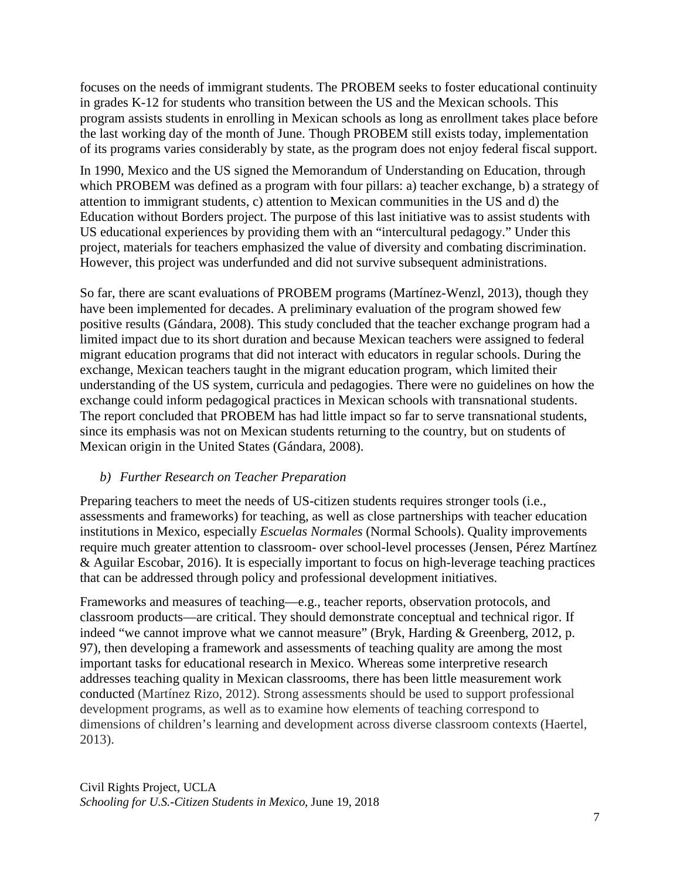focuses on the needs of immigrant students. The PROBEM seeks to foster educational continuity in grades K-12 for students who transition between the US and the Mexican schools. This program assists students in enrolling in Mexican schools as long as enrollment takes place before the last working day of the month of June. Though PROBEM still exists today, implementation of its programs varies considerably by state, as the program does not enjoy federal fiscal support.

In 1990, Mexico and the US signed the Memorandum of Understanding on Education, through which PROBEM was defined as a program with four pillars: a) teacher exchange, b) a strategy of attention to immigrant students, c) attention to Mexican communities in the US and d) the Education without Borders project. The purpose of this last initiative was to assist students with US educational experiences by providing them with an "intercultural pedagogy." Under this project, materials for teachers emphasized the value of diversity and combating discrimination. However, this project was underfunded and did not survive subsequent administrations.

So far, there are scant evaluations of PROBEM programs (Martínez-Wenzl, 2013), though they have been implemented for decades. A preliminary evaluation of the program showed few positive results (Gándara, 2008). This study concluded that the teacher exchange program had a limited impact due to its short duration and because Mexican teachers were assigned to federal migrant education programs that did not interact with educators in regular schools. During the exchange, Mexican teachers taught in the migrant education program, which limited their understanding of the US system, curricula and pedagogies. There were no guidelines on how the exchange could inform pedagogical practices in Mexican schools with transnational students. The report concluded that PROBEM has had little impact so far to serve transnational students, since its emphasis was not on Mexican students returning to the country, but on students of Mexican origin in the United States (Gándara, 2008).

# *b) Further Research on Teacher Preparation*

Preparing teachers to meet the needs of US-citizen students requires stronger tools (i.e., assessments and frameworks) for teaching, as well as close partnerships with teacher education institutions in Mexico, especially *Escuelas Normales* (Normal Schools). Quality improvements require much greater attention to classroom- over school-level processes (Jensen, Pérez Martínez & Aguilar Escobar, 2016). It is especially important to focus on high-leverage teaching practices that can be addressed through policy and professional development initiatives.

Frameworks and measures of teaching—e.g., teacher reports, observation protocols, and classroom products—are critical. They should demonstrate conceptual and technical rigor. If indeed "we cannot improve what we cannot measure" (Bryk, Harding & Greenberg, 2012, p. 97), then developing a framework and assessments of teaching quality are among the most important tasks for educational research in Mexico. Whereas some interpretive research addresses teaching quality in Mexican classrooms, there has been little measurement work conducted (Martínez Rizo, 2012). Strong assessments should be used to support professional development programs, as well as to examine how elements of teaching correspond to dimensions of children's learning and development across diverse classroom contexts (Haertel, 2013).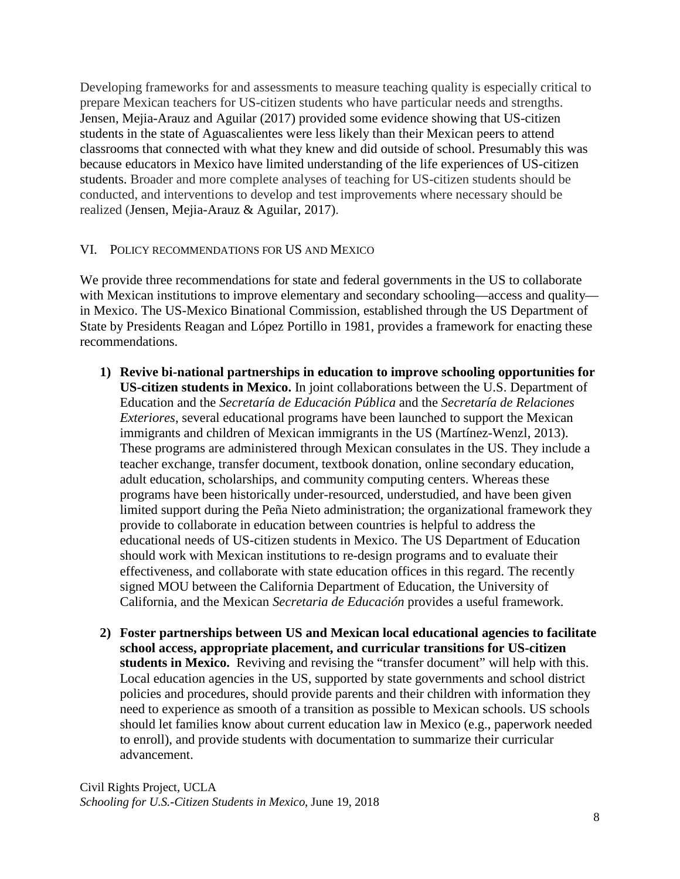Developing frameworks for and assessments to measure teaching quality is especially critical to prepare Mexican teachers for US-citizen students who have particular needs and strengths. Jensen, Mejia-Arauz and Aguilar (2017) provided some evidence showing that US-citizen students in the state of Aguascalientes were less likely than their Mexican peers to attend classrooms that connected with what they knew and did outside of school. Presumably this was because educators in Mexico have limited understanding of the life experiences of US-citizen students. Broader and more complete analyses of teaching for US-citizen students should be conducted, and interventions to develop and test improvements where necessary should be realized (Jensen, Mejia-Arauz & Aguilar, 2017).

# VI. POLICY RECOMMENDATIONS FOR US AND MEXICO

We provide three recommendations for state and federal governments in the US to collaborate with Mexican institutions to improve elementary and secondary schooling—access and quality in Mexico. The US-Mexico Binational Commission, established through the US Department of State by Presidents Reagan and López Portillo in 1981, provides a framework for enacting these recommendations.

- **1) Revive bi-national partnerships in education to improve schooling opportunities for US-citizen students in Mexico.** In joint collaborations between the U.S. Department of Education and the *Secretaría de Educación Pública* and the *Secretaría de Relaciones Exteriores*, several educational programs have been launched to support the Mexican immigrants and children of Mexican immigrants in the US (Martínez-Wenzl, 2013). These programs are administered through Mexican consulates in the US. They include a teacher exchange, transfer document, textbook donation, online secondary education, adult education, scholarships, and community computing centers. Whereas these programs have been historically under-resourced, understudied, and have been given limited support during the Peña Nieto administration; the organizational framework they provide to collaborate in education between countries is helpful to address the educational needs of US-citizen students in Mexico. The US Department of Education should work with Mexican institutions to re-design programs and to evaluate their effectiveness, and collaborate with state education offices in this regard. The recently signed MOU between the California Department of Education, the University of California, and the Mexican *Secretaria de Educación* provides a useful framework.
- **2) Foster partnerships between US and Mexican local educational agencies to facilitate school access, appropriate placement, and curricular transitions for US-citizen students in Mexico.** Reviving and revising the "transfer document" will help with this. Local education agencies in the US, supported by state governments and school district policies and procedures, should provide parents and their children with information they need to experience as smooth of a transition as possible to Mexican schools. US schools should let families know about current education law in Mexico (e.g., paperwork needed to enroll), and provide students with documentation to summarize their curricular advancement.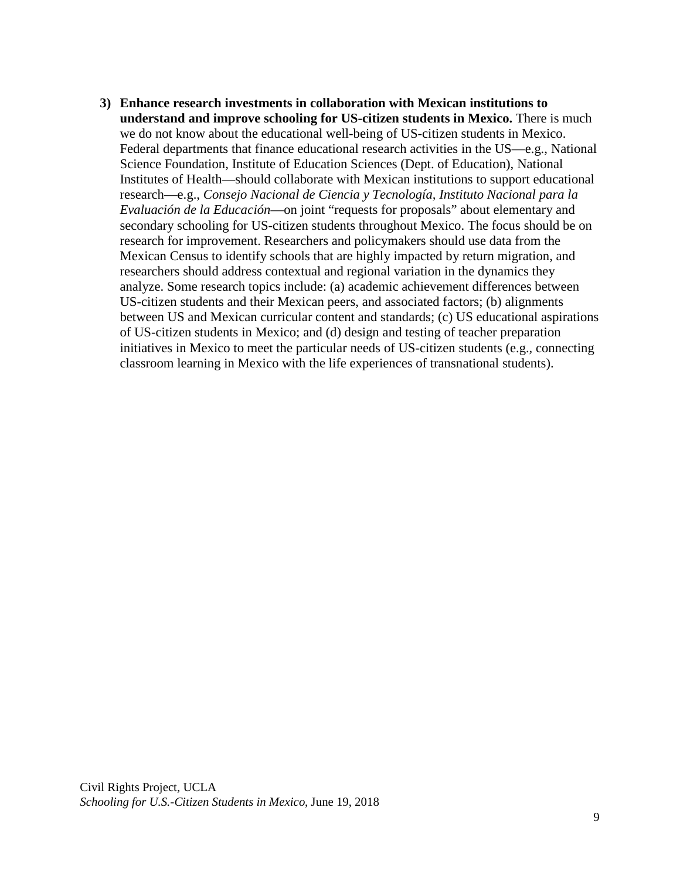**3) Enhance research investments in collaboration with Mexican institutions to understand and improve schooling for US-citizen students in Mexico.** There is much we do not know about the educational well-being of US-citizen students in Mexico. Federal departments that finance educational research activities in the US—e.g., National Science Foundation, Institute of Education Sciences (Dept. of Education), National Institutes of Health—should collaborate with Mexican institutions to support educational research—e.g., *Consejo Nacional de Ciencia y Tecnología, Instituto Nacional para la Evaluación de la Educación*—on joint "requests for proposals" about elementary and secondary schooling for US-citizen students throughout Mexico. The focus should be on research for improvement. Researchers and policymakers should use data from the Mexican Census to identify schools that are highly impacted by return migration, and researchers should address contextual and regional variation in the dynamics they analyze. Some research topics include: (a) academic achievement differences between US-citizen students and their Mexican peers, and associated factors; (b) alignments between US and Mexican curricular content and standards; (c) US educational aspirations of US-citizen students in Mexico; and (d) design and testing of teacher preparation initiatives in Mexico to meet the particular needs of US-citizen students (e.g., connecting classroom learning in Mexico with the life experiences of transnational students).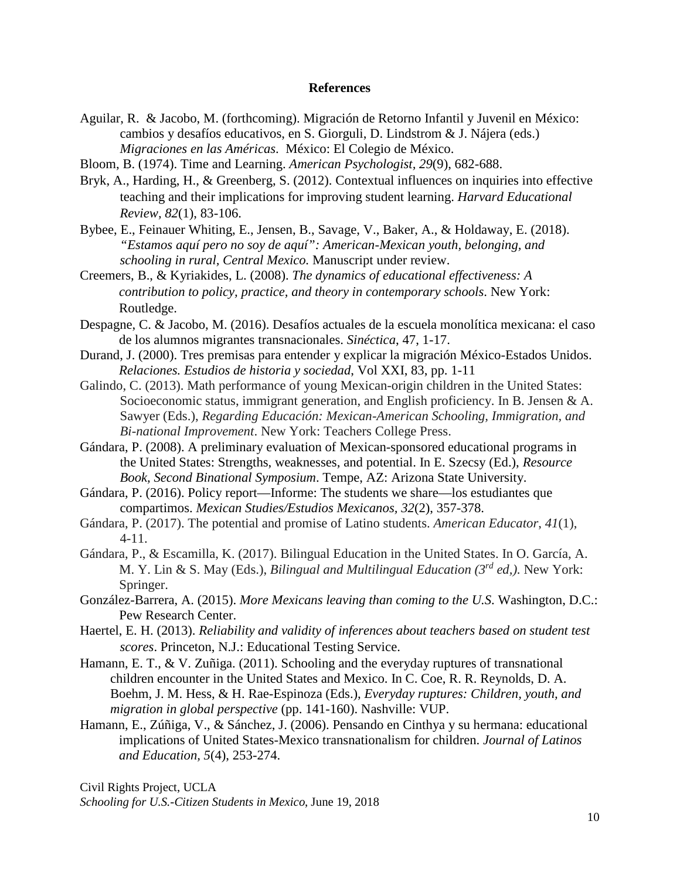#### **References**

- Aguilar, R. & Jacobo, M. (forthcoming). Migración de Retorno Infantil y Juvenil en México: cambios y desafíos educativos, en S. Giorguli, D. Lindstrom & J. Nájera (eds.) *Migraciones en las Américas*. México: El Colegio de México.
- Bloom, B. (1974). Time and Learning. *American Psychologist, 29*(9), 682-688.
- Bryk, A., Harding, H., & Greenberg, S. (2012). Contextual influences on inquiries into effective teaching and their implications for improving student learning. *Harvard Educational Review, 82*(1), 83-106.
- Bybee, E., Feinauer Whiting, E., Jensen, B., Savage, V., Baker, A., & Holdaway, E. (2018). *"Estamos aquí pero no soy de aquí": American-Mexican youth, belonging, and schooling in rural, Central Mexico.* Manuscript under review.
- Creemers, B., & Kyriakides, L. (2008). *The dynamics of educational effectiveness: A contribution to policy, practice, and theory in contemporary schools*. New York: Routledge.
- Despagne, C. & Jacobo, M. (2016). Desafíos actuales de la escuela monolítica mexicana: el caso de los alumnos migrantes transnacionales. *Sinéctica*, 47, 1-17.
- Durand, J. (2000). Tres premisas para entender y explicar la migración México-Estados Unidos. *Relaciones. Estudios de historia y sociedad*, Vol XXI, 83, pp. 1-11
- Galindo, C. (2013). Math performance of young Mexican-origin children in the United States: Socioeconomic status, immigrant generation, and English proficiency. In B. Jensen & A. Sawyer (Eds.), *Regarding Educación: Mexican-American Schooling, Immigration, and Bi-national Improvement*. New York: Teachers College Press.
- Gándara, P. (2008). A preliminary evaluation of Mexican-sponsored educational programs in the United States: Strengths, weaknesses, and potential. In E. Szecsy (Ed.), *Resource Book, Second Binational Symposium*. Tempe, AZ: Arizona State University.
- Gándara, P. (2016). Policy report—Informe: The students we share—los estudiantes que compartimos. *Mexican Studies/Estudios Mexicanos, 32*(2), 357-378.
- Gándara, P. (2017). The potential and promise of Latino students. *American Educator*, *41*(1), 4-11.
- Gándara, P., & Escamilla, K. (2017). Bilingual Education in the United States. In O. García, A. M. Y. Lin & S. May (Eds.), *Bilingual and Multilingual Education (3rd ed,).* New York: Springer.
- González-Barrera, A. (2015). *More Mexicans leaving than coming to the U.S*. Washington, D.C.: Pew Research Center.
- Haertel, E. H. (2013). *Reliability and validity of inferences about teachers based on student test scores*. Princeton, N.J.: Educational Testing Service.
- Hamann, E. T., & V. Zuñiga. (2011). Schooling and the everyday ruptures of transnational children encounter in the United States and Mexico. In C. Coe, R. R. Reynolds, D. A. Boehm, J. M. Hess, & H. Rae-Espinoza (Eds.), *Everyday ruptures: Children, youth, and migration in global perspective* (pp. 141-160). Nashville: VUP.
- Hamann, E., Zúñiga, V., & Sánchez, J. (2006). Pensando en Cinthya y su hermana: educational implications of United States-Mexico transnationalism for children. *Journal of Latinos and Education, 5*(4), 253-274.

Civil Rights Project, UCLA *Schooling for U.S.-Citizen Students in Mexico*, June 19, 2018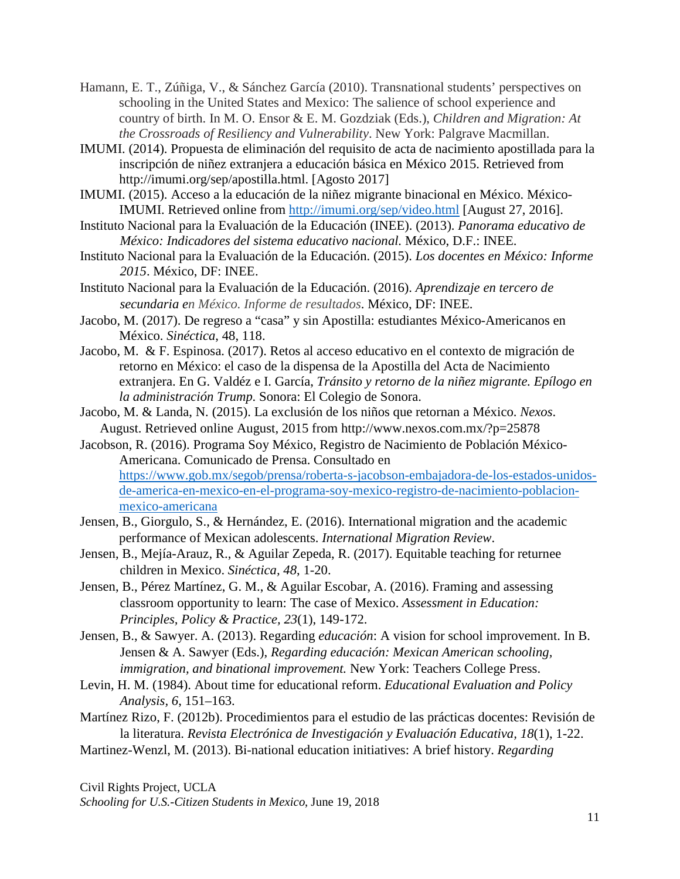- Hamann, E. T., Zúñiga, V., & Sánchez García (2010). Transnational students' perspectives on schooling in the United States and Mexico: The salience of school experience and country of birth. In M. O. Ensor & E. M. Gozdziak (Eds.), *Children and Migration: At the Crossroads of Resiliency and Vulnerability*. New York: Palgrave Macmillan.
- IMUMI. (2014). Propuesta de eliminación del requisito de acta de nacimiento apostillada para la inscripción de niñez extranjera a educación básica en México 2015. Retrieved from http://imumi.org/sep/apostilla.html. [Agosto 2017]
- IMUMI. (2015). Acceso a la educación de la niñez migrante binacional en México. México-IMUMI. Retrieved online from <http://imumi.org/sep/video.html> [August 27, 2016].
- Instituto Nacional para la Evaluación de la Educación (INEE). (2013). *Panorama educativo de México: Indicadores del sistema educativo nacional.* México, D.F.: INEE.
- Instituto Nacional para la Evaluación de la Educación. (2015). *Los docentes en México: Informe 2015*. México, DF: INEE.
- Instituto Nacional para la Evaluación de la Educación. (2016). *Aprendizaje en tercero de secundaria en México. Informe de resultados*. México, DF: INEE.
- Jacobo, M. (2017). De regreso a "casa" y sin Apostilla: estudiantes México-Americanos en México. *Sinéctica*, 48, 118.
- Jacobo, M. & F. Espinosa. (2017). Retos al acceso educativo en el contexto de migración de retorno en México: el caso de la dispensa de la Apostilla del Acta de Nacimiento extranjera. En G. Valdéz e I. García, *Tránsito y retorno de la niñez migrante. Epílogo en la administración Trump*. Sonora: El Colegio de Sonora.
- Jacobo, M. & Landa, N. (2015). La exclusión de los niños que retornan a México. *Nexos*. August. Retrieved online August, 2015 from http://www.nexos.com.mx/?p=25878
- Jacobson, R. (2016). Programa Soy México, Registro de Nacimiento de Población México-Americana. Comunicado de Prensa. Consultado en [https://www.gob.mx/segob/prensa/roberta-s-jacobson-embajadora-de-los-estados-unidos](https://www.gob.mx/segob/prensa/roberta-s-jacobson-embajadora-de-los-estados-unidos-de-america-en-mexico-en-el-programa-soy-mexico-registro-de-nacimiento-poblacion-mexico-americana)[de-america-en-mexico-en-el-programa-soy-mexico-registro-de-nacimiento-poblacion](https://www.gob.mx/segob/prensa/roberta-s-jacobson-embajadora-de-los-estados-unidos-de-america-en-mexico-en-el-programa-soy-mexico-registro-de-nacimiento-poblacion-mexico-americana)[mexico-americana](https://www.gob.mx/segob/prensa/roberta-s-jacobson-embajadora-de-los-estados-unidos-de-america-en-mexico-en-el-programa-soy-mexico-registro-de-nacimiento-poblacion-mexico-americana)
- Jensen, B., Giorgulo, S., & Hernández, E. (2016). International migration and the academic performance of Mexican adolescents. *International Migration Review*.
- Jensen, B., Mejía-Arauz, R., & Aguilar Zepeda, R. (2017). Equitable teaching for returnee children in Mexico. *Sinéctica, 48*, 1-20.
- Jensen, B., Pérez Martínez, G. M., & Aguilar Escobar, A. (2016). Framing and assessing classroom opportunity to learn: The case of Mexico. *Assessment in Education: Principles, Policy & Practice, 23*(1), 149-172.
- Jensen, B., & Sawyer. A. (2013). Regarding *educación*: A vision for school improvement. In B. Jensen & A. Sawyer (Eds.), *Regarding educación: Mexican American schooling, immigration, and binational improvement.* New York: Teachers College Press.
- Levin, H. M. (1984). About time for educational reform. *Educational Evaluation and Policy Analysis, 6*, 151–163.
- Martínez Rizo, F. (2012b). Procedimientos para el estudio de las prácticas docentes: Revisión de la literatura. *Revista Electrónica de Investigación y Evaluación Educativa, 18*(1), 1-22.
- Martinez-Wenzl, M. (2013). Bi-national education initiatives: A brief history. *Regarding*

Civil Rights Project, UCLA *Schooling for U.S.-Citizen Students in Mexico*, June 19, 2018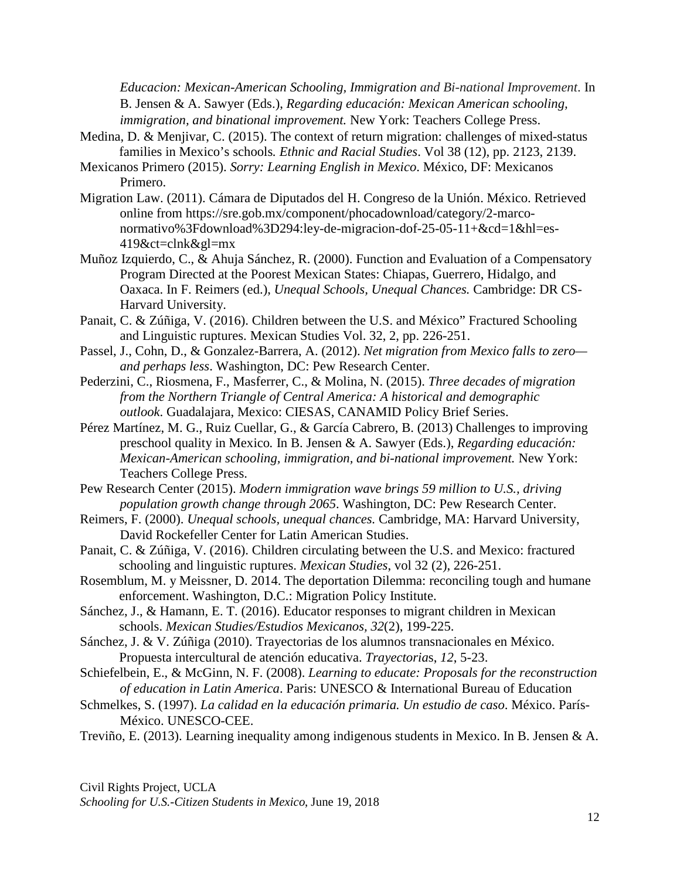*Educacion: Mexican-American Schooling, Immigration and Bi-national Improvement*. In B. Jensen & A. Sawyer (Eds.), *Regarding educación: Mexican American schooling, immigration, and binational improvement.* New York: Teachers College Press.

- Medina, D. & Menjivar, C. (2015). The context of return migration: challenges of mixed-status families in Mexico's schools*. Ethnic and Racial Studies*. Vol 38 (12), pp. 2123, 2139.
- Mexicanos Primero (2015). *Sorry: Learning English in Mexico*. México, DF: Mexicanos Primero.
- Migration Law. (2011). Cámara de Diputados del H. Congreso de la Unión. México. Retrieved online from https://sre.gob.mx/component/phocadownload/category/2-marconormativo%3Fdownload%3D294:ley-de-migracion-dof-25-05-11+&cd=1&hl=es-419&ct=clnk&gl=mx
- Muñoz Izquierdo, C., & Ahuja Sánchez, R. (2000). Function and Evaluation of a Compensatory Program Directed at the Poorest Mexican States: Chiapas, Guerrero, Hidalgo, and Oaxaca. In F. Reimers (ed.), *Unequal Schools, Unequal Chances.* Cambridge: DR CS-Harvard University.
- Panait, C. & Zúñiga, V. (2016). Children between the U.S. and México" Fractured Schooling and Linguistic ruptures. Mexican Studies Vol. 32, 2, pp. 226-251.
- Passel, J., Cohn, D., & Gonzalez-Barrera, A. (2012). *Net migration from Mexico falls to zero and perhaps less*. Washington, DC: Pew Research Center.
- Pederzini, C., Riosmena, F., Masferrer, C., & Molina, N. (2015). *Three decades of migration from the Northern Triangle of Central America: A historical and demographic outlook*. Guadalajara, Mexico: CIESAS, CANAMID Policy Brief Series.
- Pérez Martínez, M. G., Ruiz Cuellar, G., & García Cabrero, B. (2013) Challenges to improving preschool quality in Mexico*.* In B. Jensen & A. Sawyer (Eds.), *Regarding educación: Mexican-American schooling, immigration, and bi-national improvement.* New York: Teachers College Press.
- Pew Research Center (2015). *Modern immigration wave brings 59 million to U.S., driving population growth change through 2065*. Washington, DC: Pew Research Center.
- Reimers, F. (2000). *Unequal schools, unequal chances.* Cambridge, MA: Harvard University, David Rockefeller Center for Latin American Studies.
- Panait, C. & Zúñiga, V. (2016). Children circulating between the U.S. and Mexico: fractured schooling and linguistic ruptures. *Mexican Studies*, vol 32 (2), 226-251.
- Rosemblum, M. y Meissner, D. 2014. The deportation Dilemma: reconciling tough and humane enforcement. Washington, D.C.: Migration Policy Institute.
- Sánchez, J., & Hamann, E. T. (2016). Educator responses to migrant children in Mexican schools. *Mexican Studies/Estudios Mexicanos, 32*(2), 199-225.
- Sánchez, J. & V. Zúñiga (2010). Trayectorias de los alumnos transnacionales en México. Propuesta intercultural de atención educativa. *Trayectoria*s, *12*, 5-23.
- Schiefelbein, E., & McGinn, N. F. (2008). *Learning to educate: Proposals for the reconstruction of education in Latin America*. Paris: UNESCO & International Bureau of Education
- Schmelkes, S. (1997). *La calidad en la educación primaria. Un estudio de caso*. México. París-México. UNESCO-CEE.
- Treviño, E. (2013). Learning inequality among indigenous students in Mexico. In B. Jensen & A.